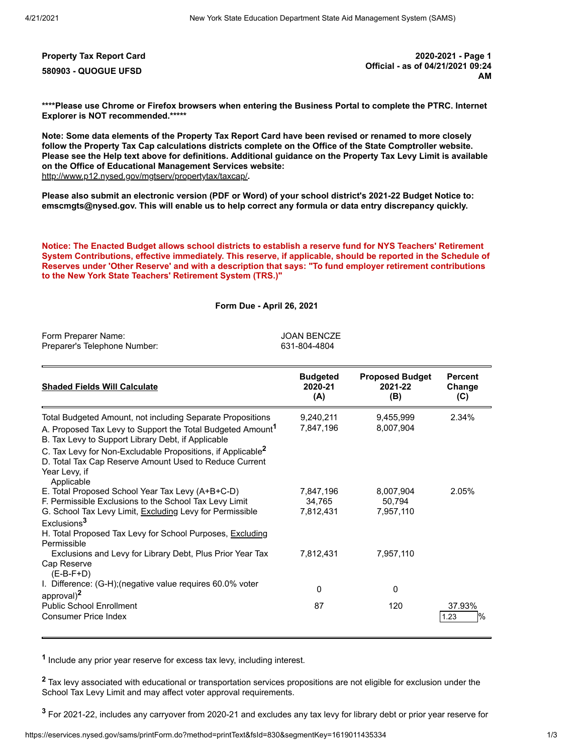**Property Tax Report Card 2020-2021 - Page 1 580903 - QUOGUE UFSD Official - as of 04/21/2021 09:24 AM**

**\*\*\*\*Please use Chrome or Firefox browsers when entering the Business Portal to complete the PTRC. Internet Explorer is NOT recommended.\*\*\*\*\***

**Note: Some data elements of the Property Tax Report Card have been revised or renamed to more closely follow the Property Tax Cap calculations districts complete on the Office of the State Comptroller website. Please see the Help text above for definitions. Additional guidance on the Property Tax Levy Limit is available on the Office of Educational Management Services website:** <http://www.p12.nysed.gov/mgtserv/propertytax/taxcap/>**.**

**Please also submit an electronic version (PDF or Word) of your school district's 2021-22 Budget Notice to: emscmgts@nysed.gov. This will enable us to help correct any formula or data entry discrepancy quickly.**

**Notice: The Enacted Budget allows school districts to establish a reserve fund for NYS Teachers' Retirement System Contributions, effective immediately. This reserve, if applicable, should be reported in the Schedule of Reserves under 'Other Reserve' and with a description that says: "To fund employer retirement contributions to the New York State Teachers' Retirement System (TRS.)"**

**Form Due - April 26, 2021**

| Form Preparer Name:<br>Preparer's Telephone Number:                                                                                                                                                                                                                                                                                                            | <b>JOAN BENCZE</b><br>631-804-4804            |                                               |                                 |
|----------------------------------------------------------------------------------------------------------------------------------------------------------------------------------------------------------------------------------------------------------------------------------------------------------------------------------------------------------------|-----------------------------------------------|-----------------------------------------------|---------------------------------|
| <b>Shaded Fields Will Calculate</b>                                                                                                                                                                                                                                                                                                                            | <b>Budgeted</b><br>2020-21<br>(A)             | <b>Proposed Budget</b><br>2021-22<br>(B)      | <b>Percent</b><br>Change<br>(C) |
| Total Budgeted Amount, not including Separate Propositions<br>A. Proposed Tax Levy to Support the Total Budgeted Amount <sup>1</sup><br>B. Tax Levy to Support Library Debt, if Applicable<br>C. Tax Levy for Non-Excludable Propositions, if Applicable <sup>2</sup><br>D. Total Tax Cap Reserve Amount Used to Reduce Current<br>Year Levy, if<br>Applicable | 9,240,211<br>7,847,196                        | 9,455,999<br>8,007,904                        | 2.34%                           |
| E. Total Proposed School Year Tax Levy (A+B+C-D)<br>F. Permissible Exclusions to the School Tax Levy Limit<br>G. School Tax Levy Limit, Excluding Levy for Permissible<br>Exclusions <sup>3</sup><br>H. Total Proposed Tax Levy for School Purposes, Excluding<br>Permissible<br>Exclusions and Levy for Library Debt, Plus Prior Year Tax                     | 7,847,196<br>34,765<br>7,812,431<br>7,812,431 | 8,007,904<br>50.794<br>7,957,110<br>7,957,110 | 2.05%                           |
| Cap Reserve<br>$(E-B-F+D)$<br>I. Difference: (G-H); (negative value requires 60.0% voter<br>approval) <sup>2</sup><br><b>Public School Enrollment</b><br>Consumer Price Index                                                                                                                                                                                  | 0<br>87                                       | $\mathbf{0}$<br>120                           | 37.93%<br>$\frac{1}{2}$<br>1.23 |

**1** Include any prior year reserve for excess tax levy, including interest.

**<sup>2</sup>** Tax levy associated with educational or transportation services propositions are not eligible for exclusion under the School Tax Levy Limit and may affect voter approval requirements.

**3** For 2021-22, includes any carryover from 2020-21 and excludes any tax levy for library debt or prior year reserve for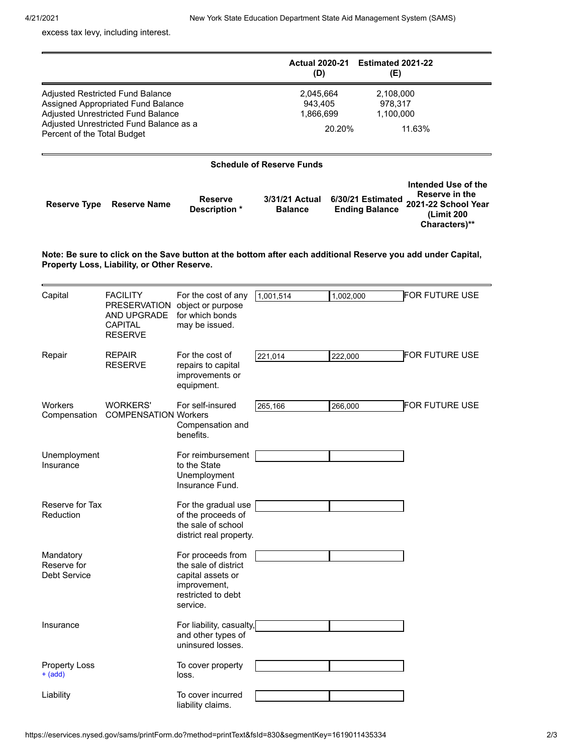**Characters)\*\***

excess tax levy, including interest.

|                             |                                                                                                                                                         |                                 | <b>Actual 2020-21</b><br>(D)      |        | <b>Estimated 2021-22</b><br>(E)            |                                                                            |
|-----------------------------|---------------------------------------------------------------------------------------------------------------------------------------------------------|---------------------------------|-----------------------------------|--------|--------------------------------------------|----------------------------------------------------------------------------|
| Percent of the Total Budget | Adjusted Restricted Fund Balance<br>Assigned Appropriated Fund Balance<br>Adjusted Unrestricted Fund Balance<br>Adjusted Unrestricted Fund Balance as a |                                 | 2,045,664<br>943.405<br>1,866,699 | 20.20% | 2,108,000<br>978.317<br>1,100,000          | 11.63%                                                                     |
|                             |                                                                                                                                                         |                                 | <b>Schedule of Reserve Funds</b>  |        |                                            |                                                                            |
| Reserve Type                | <b>Reserve Name</b>                                                                                                                                     | <b>Reserve</b><br>Description * | 3/31/21 Actual<br><b>Balance</b>  |        | 6/30/21 Estimated<br><b>Ending Balance</b> | Intended Use of the<br>Reserve in the<br>2021-22 School Year<br>(Limit 200 |

**Note: Be sure to click on the Save button at the bottom after each additional Reserve you add under Capital, Property Loss, Liability, or Other Reserve.**

<span id="page-1-0"></span>

| Capital                           | <b>FACILITY</b><br><b>PRESERVATION</b>          | For the cost of any<br>object or purpose                            | 1,001,514 | 1,002,000 | <b>FOR FUTURE USE</b> |
|-----------------------------------|-------------------------------------------------|---------------------------------------------------------------------|-----------|-----------|-----------------------|
|                                   | AND UPGRADE<br><b>CAPITAL</b><br><b>RESERVE</b> | for which bonds<br>may be issued.                                   |           |           |                       |
| Repair                            | <b>REPAIR</b><br><b>RESERVE</b>                 | For the cost of<br>repairs to capital                               | 221,014   | 222,000   | FOR FUTURE USE        |
|                                   |                                                 | improvements or<br>equipment.                                       |           |           |                       |
| Workers                           | <b>WORKERS'</b><br><b>COMPENSATION Workers</b>  | For self-insured                                                    | 265,166   | 266,000   | FOR FUTURE USE        |
| Compensation                      |                                                 | Compensation and<br>benefits.                                       |           |           |                       |
| Unemployment                      |                                                 | For reimbursement<br>to the State                                   |           |           |                       |
| Insurance                         |                                                 | Unemployment<br>Insurance Fund.                                     |           |           |                       |
| Reserve for Tax                   |                                                 | For the gradual use                                                 |           |           |                       |
| Reduction                         |                                                 | of the proceeds of<br>the sale of school<br>district real property. |           |           |                       |
| Mandatory<br>Reserve for          |                                                 | For proceeds from<br>the sale of district                           |           |           |                       |
| <b>Debt Service</b>               |                                                 | capital assets or<br>improvement,                                   |           |           |                       |
|                                   |                                                 | restricted to debt<br>service.                                      |           |           |                       |
| Insurance                         |                                                 | For liability, casualty,<br>and other types of                      |           |           |                       |
|                                   |                                                 | uninsured losses.                                                   |           |           |                       |
| <b>Property Loss</b><br>$+$ (add) |                                                 | To cover property<br>loss.                                          |           |           |                       |
| Liability                         |                                                 | To cover incurred<br>liability claims.                              |           |           |                       |